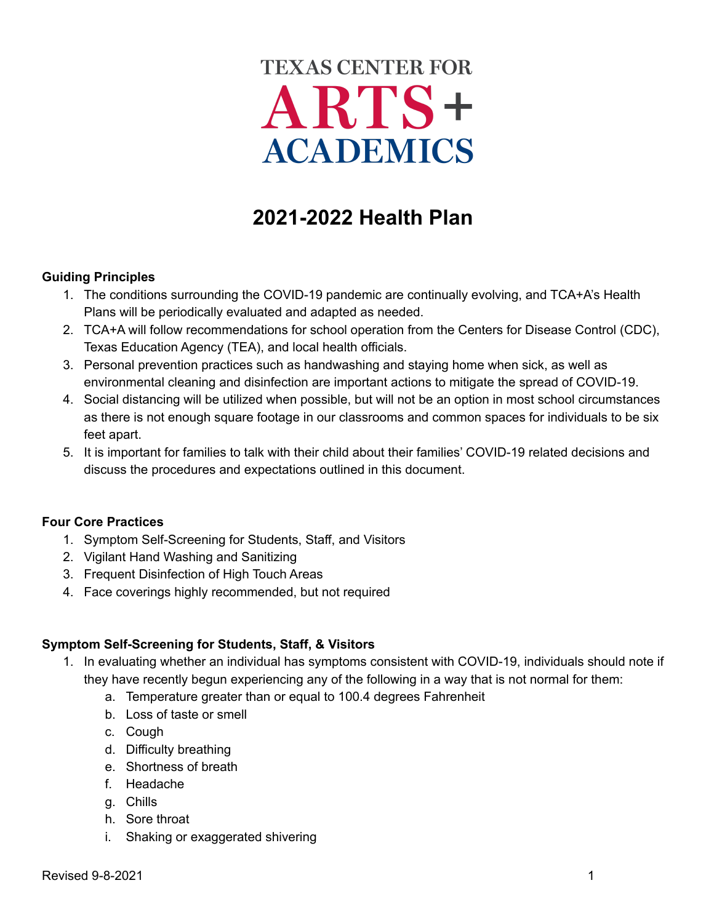# **TEXAS CENTER FOR** ARTS+ **ACADEMICS**

# **2021-2022 Health Plan**

#### **Guiding Principles**

- 1. The conditions surrounding the COVID-19 pandemic are continually evolving, and TCA+A's Health Plans will be periodically evaluated and adapted as needed.
- 2. TCA+A will follow recommendations for school operation from the Centers for Disease Control (CDC), Texas Education Agency (TEA), and local health officials.
- 3. Personal prevention practices such as handwashing and staying home when sick, as well as environmental cleaning and disinfection are important actions to mitigate the spread of COVID-19.
- 4. Social distancing will be utilized when possible, but will not be an option in most school circumstances as there is not enough square footage in our classrooms and common spaces for individuals to be six feet apart.
- 5. It is important for families to talk with their child about their families' COVID-19 related decisions and discuss the procedures and expectations outlined in this document.

#### **Four Core Practices**

- 1. Symptom Self-Screening for Students, Staff, and Visitors
- 2. Vigilant Hand Washing and Sanitizing
- 3. Frequent Disinfection of High Touch Areas
- 4. Face coverings highly recommended, but not required

#### **Symptom Self-Screening for Students, Staff, & Visitors**

- 1. In evaluating whether an individual has symptoms consistent with COVID-19, individuals should note if they have recently begun experiencing any of the following in a way that is not normal for them:
	- a. Temperature greater than or equal to 100.4 degrees Fahrenheit
	- b. Loss of taste or smell
	- c. Cough
	- d. Difficulty breathing
	- e. Shortness of breath
	- f. Headache
	- g. Chills
	- h. Sore throat
	- i. Shaking or exaggerated shivering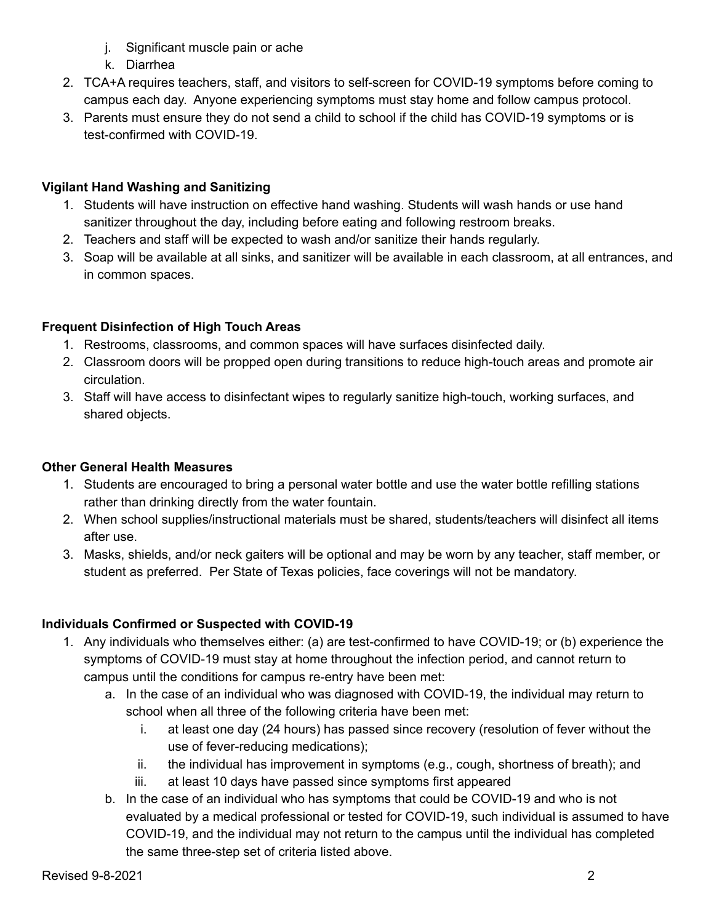- j. Significant muscle pain or ache
- k. Diarrhea
- 2. TCA+A requires teachers, staff, and visitors to self-screen for COVID-19 symptoms before coming to campus each day. Anyone experiencing symptoms must stay home and follow campus protocol.
- 3. Parents must ensure they do not send a child to school if the child has COVID-19 symptoms or is test-confirmed with COVID-19.

# **Vigilant Hand Washing and Sanitizing**

- 1. Students will have instruction on effective hand washing. Students will wash hands or use hand sanitizer throughout the day, including before eating and following restroom breaks.
- 2. Teachers and staff will be expected to wash and/or sanitize their hands regularly.
- 3. Soap will be available at all sinks, and sanitizer will be available in each classroom, at all entrances, and in common spaces.

# **Frequent Disinfection of High Touch Areas**

- 1. Restrooms, classrooms, and common spaces will have surfaces disinfected daily.
- 2. Classroom doors will be propped open during transitions to reduce high-touch areas and promote air circulation.
- 3. Staff will have access to disinfectant wipes to regularly sanitize high-touch, working surfaces, and shared objects.

# **Other General Health Measures**

- 1. Students are encouraged to bring a personal water bottle and use the water bottle refilling stations rather than drinking directly from the water fountain.
- 2. When school supplies/instructional materials must be shared, students/teachers will disinfect all items after use.
- 3. Masks, shields, and/or neck gaiters will be optional and may be worn by any teacher, staff member, or student as preferred. Per State of Texas policies, face coverings will not be mandatory.

# **Individuals Confirmed or Suspected with COVID-19**

- 1. Any individuals who themselves either: (a) are test-confirmed to have COVID-19; or (b) experience the symptoms of COVID-19 must stay at home throughout the infection period, and cannot return to campus until the conditions for campus re-entry have been met:
	- a. In the case of an individual who was diagnosed with COVID-19, the individual may return to school when all three of the following criteria have been met:
		- i. at least one day (24 hours) has passed since recovery (resolution of fever without the use of fever-reducing medications);
		- ii. the individual has improvement in symptoms (e.g., cough, shortness of breath); and
		- iii. at least 10 days have passed since symptoms first appeared
	- b. In the case of an individual who has symptoms that could be COVID-19 and who is not evaluated by a medical professional or tested for COVID-19, such individual is assumed to have COVID-19, and the individual may not return to the campus until the individual has completed the same three-step set of criteria listed above.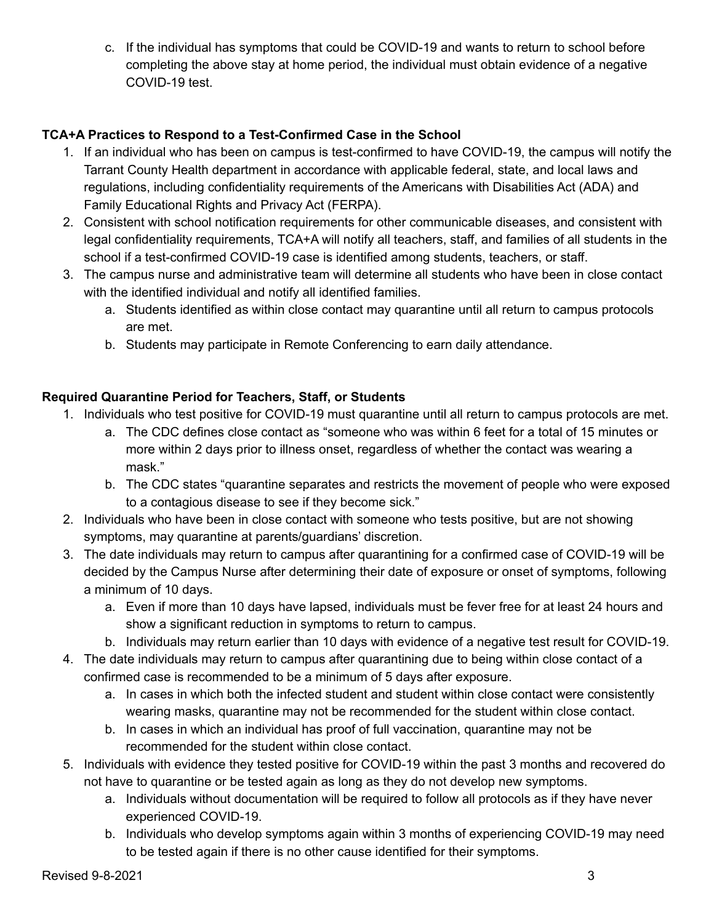c. If the individual has symptoms that could be COVID-19 and wants to return to school before completing the above stay at home period, the individual must obtain evidence of a negative COVID-19 test.

# **TCA+A Practices to Respond to a Test-Confirmed Case in the School**

- 1. If an individual who has been on campus is test-confirmed to have COVID-19, the campus will notify the Tarrant County Health department in accordance with applicable federal, state, and local laws and regulations, including confidentiality requirements of the Americans with Disabilities Act (ADA) and Family Educational Rights and Privacy Act (FERPA).
- 2. Consistent with school notification requirements for other communicable diseases, and consistent with legal confidentiality requirements, TCA+A will notify all teachers, staff, and families of all students in the school if a test-confirmed COVID-19 case is identified among students, teachers, or staff.
- 3. The campus nurse and administrative team will determine all students who have been in close contact with the identified individual and notify all identified families.
	- a. Students identified as within close contact may quarantine until all return to campus protocols are met.
	- b. Students may participate in Remote Conferencing to earn daily attendance.

### **Required Quarantine Period for Teachers, Staff, or Students**

- 1. Individuals who test positive for COVID-19 must quarantine until all return to campus protocols are met.
	- a. The CDC defines close contact as "someone who was within 6 feet for a total of 15 minutes or more within 2 days prior to illness onset, regardless of whether the contact was wearing a mask."
	- b. The CDC states "quarantine separates and restricts the movement of people who were exposed to a contagious disease to see if they become sick."
- 2. Individuals who have been in close contact with someone who tests positive, but are not showing symptoms, may quarantine at parents/guardians' discretion.
- 3. The date individuals may return to campus after quarantining for a confirmed case of COVID-19 will be decided by the Campus Nurse after determining their date of exposure or onset of symptoms, following a minimum of 10 days.
	- a. Even if more than 10 days have lapsed, individuals must be fever free for at least 24 hours and show a significant reduction in symptoms to return to campus.
	- b. Individuals may return earlier than 10 days with evidence of a negative test result for COVID-19.
- 4. The date individuals may return to campus after quarantining due to being within close contact of a confirmed case is recommended to be a minimum of 5 days after exposure.
	- a. In cases in which both the infected student and student within close contact were consistently wearing masks, quarantine may not be recommended for the student within close contact.
	- b. In cases in which an individual has proof of full vaccination, quarantine may not be recommended for the student within close contact.
- 5. Individuals with evidence they tested positive for COVID-19 within the past 3 months and recovered do not have to quarantine or be tested again as long as they do not develop new symptoms.
	- a. Individuals without documentation will be required to follow all protocols as if they have never experienced COVID-19.
	- b. Individuals who develop symptoms again within 3 months of experiencing COVID-19 may need to be tested again if there is no other cause identified for their symptoms.